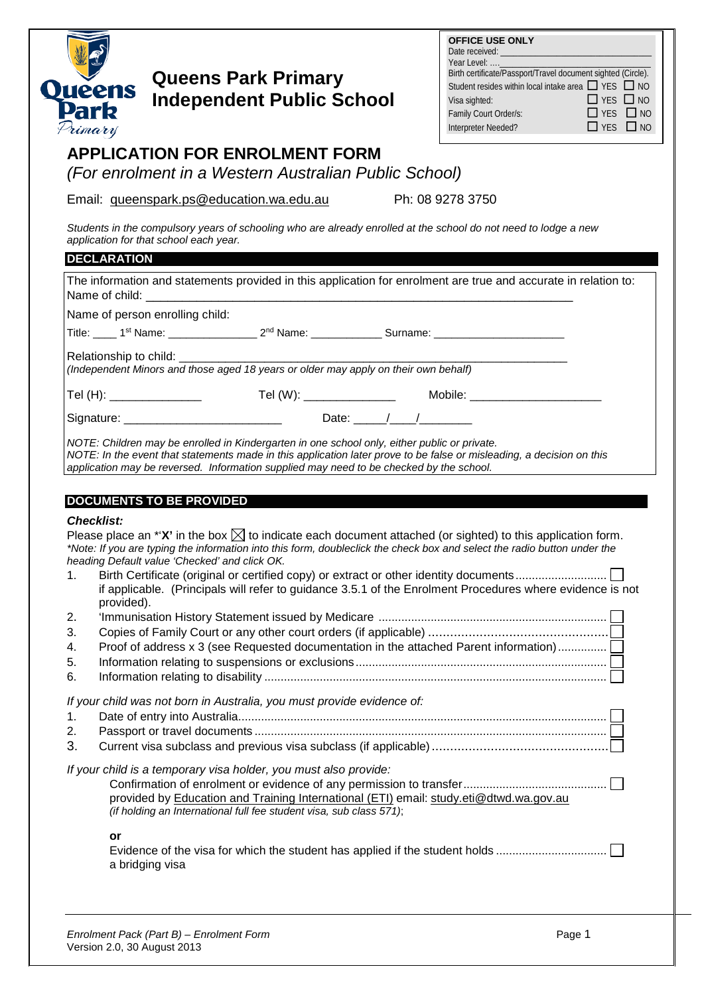

## **Queens Park Primary Independent Public School**

| <b>OFFICE USE ONLY</b><br>Date received: and the control of the control of the control of the control of the control of the control of the control of the control of the control of the control of the control of the control of the control of the cont<br>Year Level:  _____________<br>Birth certificate/Passport/Travel document sighted (Circle). |                      |  |
|--------------------------------------------------------------------------------------------------------------------------------------------------------------------------------------------------------------------------------------------------------------------------------------------------------------------------------------------------------|----------------------|--|
| Student resides within local intake area □ YES □ NO                                                                                                                                                                                                                                                                                                    |                      |  |
| Visa sighted:                                                                                                                                                                                                                                                                                                                                          | $\Box$ YES $\Box$ NO |  |
| Family Court Order/s:                                                                                                                                                                                                                                                                                                                                  | $\Box$ YES $\Box$ NO |  |
| Interpreter Needed?                                                                                                                                                                                                                                                                                                                                    | $\Box$ YES $\Box$ NO |  |

## **APPLICATION FOR ENROLMENT FORM**

*(For enrolment in a Western Australian Public School)*

Email: [queenspark.ps@education.wa.edu.au](mailto:queenspark.ps@education.wa.edu.au) Ph: 08 9278 3750

*Students in the compulsory years of schooling who are already enrolled at the school do not need to lodge a new application for that school each year.*